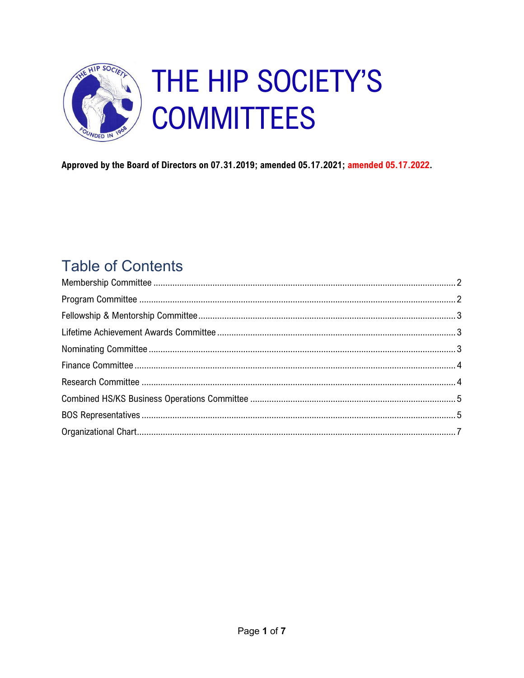

Approved by the Board of Directors on 07.31.2019; amended 05.17.2021; amended 05.17.2022.

# **Table of Contents**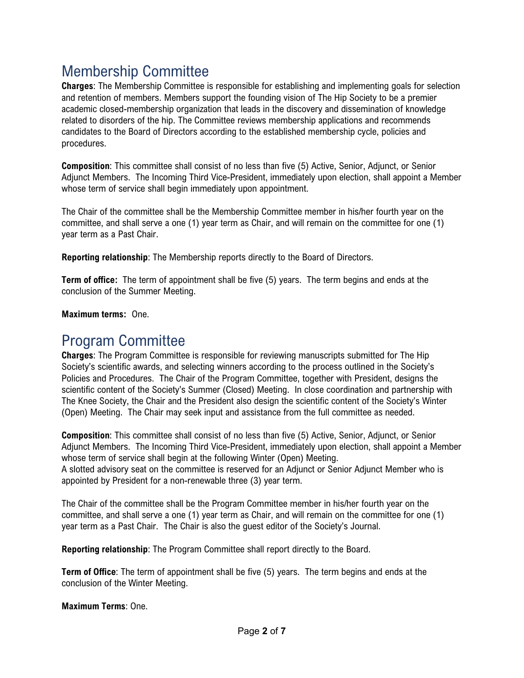## <span id="page-1-0"></span>Membership Committee

**Charges**: The Membership Committee is responsible for establishing and implementing goals for selection and retention of members. Members support the founding vision of The Hip Society to be a premier academic closed-membership organization that leads in the discovery and dissemination of knowledge related to disorders of the hip. The Committee reviews membership applications and recommends candidates to the Board of Directors according to the established membership cycle, policies and procedures.

**Composition**: This committee shall consist of no less than five (5) Active, Senior, Adjunct, or Senior Adjunct Members. The Incoming Third Vice-President, immediately upon election, shall appoint a Member whose term of service shall begin immediately upon appointment.

The Chair of the committee shall be the Membership Committee member in his/her fourth year on the committee, and shall serve a one (1) year term as Chair, and will remain on the committee for one (1) year term as a Past Chair.

**Reporting relationship**: The Membership reports directly to the Board of Directors.

**Term of office:** The term of appointment shall be five (5) years. The term begins and ends at the conclusion of the Summer Meeting.

**Maximum terms:** One.

### <span id="page-1-1"></span>Program Committee

**Charges**: The Program Committee is responsible for reviewing manuscripts submitted for The Hip Society's scientific awards, and selecting winners according to the process outlined in the Society's Policies and Procedures. The Chair of the Program Committee, together with President, designs the scientific content of the Society's Summer (Closed) Meeting. In close coordination and partnership with The Knee Society, the Chair and the President also design the scientific content of the Society's Winter (Open) Meeting. The Chair may seek input and assistance from the full committee as needed.

**Composition**: This committee shall consist of no less than five (5) Active, Senior, Adjunct, or Senior Adjunct Members. The Incoming Third Vice-President, immediately upon election, shall appoint a Member whose term of service shall begin at the following Winter (Open) Meeting. A slotted advisory seat on the committee is reserved for an Adjunct or Senior Adjunct Member who is appointed by President for a non-renewable three (3) year term.

The Chair of the committee shall be the Program Committee member in his/her fourth year on the committee, and shall serve a one (1) year term as Chair, and will remain on the committee for one (1) year term as a Past Chair. The Chair is also the guest editor of the Society's Journal.

**Reporting relationship**: The Program Committee shall report directly to the Board.

**Term of Office**: The term of appointment shall be five (5) years. The term begins and ends at the conclusion of the Winter Meeting.

**Maximum Terms**: One.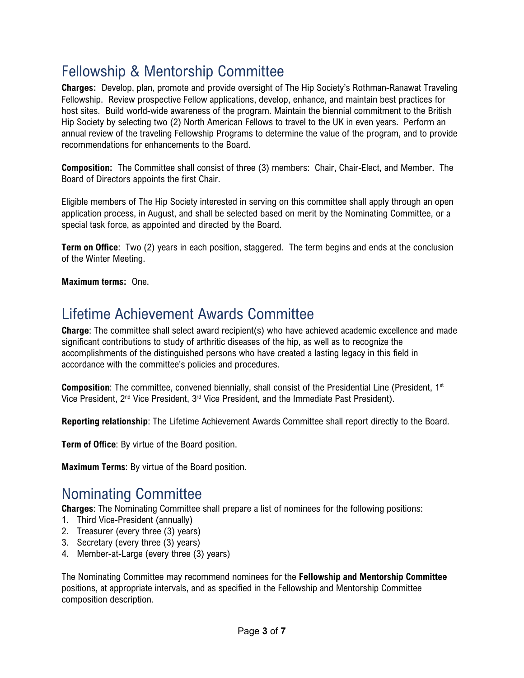## <span id="page-2-0"></span>Fellowship & Mentorship Committee

**Charges:** Develop, plan, promote and provide oversight of The Hip Society's Rothman-Ranawat Traveling Fellowship. Review prospective Fellow applications, develop, enhance, and maintain best practices for host sites. Build world-wide awareness of the program. Maintain the biennial commitment to the British Hip Society by selecting two (2) North American Fellows to travel to the UK in even years. Perform an annual review of the traveling Fellowship Programs to determine the value of the program, and to provide recommendations for enhancements to the Board.

**Composition:** The Committee shall consist of three (3) members: Chair, Chair-Elect, and Member. The Board of Directors appoints the first Chair.

Eligible members of The Hip Society interested in serving on this committee shall apply through an open application process, in August, and shall be selected based on merit by the Nominating Committee, or a special task force, as appointed and directed by the Board.

**Term on Office**: Two (2) years in each position, staggered. The term begins and ends at the conclusion of the Winter Meeting.

<span id="page-2-1"></span>**Maximum terms:** One.

#### Lifetime Achievement Awards Committee

**Charge**: The committee shall select award recipient(s) who have achieved academic excellence and made significant contributions to study of arthritic diseases of the hip, as well as to recognize the accomplishments of the distinguished persons who have created a lasting legacy in this field in accordance with the committee's policies and procedures.

**Composition**: The committee, convened biennially, shall consist of the Presidential Line (President, 1<sup>st</sup>) Vice President,  $2<sup>nd</sup>$  Vice President,  $3<sup>rd</sup>$  Vice President, and the Immediate Past President).

**Reporting relationship**: The Lifetime Achievement Awards Committee shall report directly to the Board.

**Term of Office**: By virtue of the Board position.

**Maximum Terms**: By virtue of the Board position.

#### <span id="page-2-2"></span>Nominating Committee

**Charges**: The Nominating Committee shall prepare a list of nominees for the following positions:

- 1. Third Vice-President (annually)
- 2. Treasurer (every three (3) years)
- 3. Secretary (every three (3) years)
- 4. Member-at-Large (every three (3) years)

The Nominating Committee may recommend nominees for the **Fellowship and Mentorship Committee** positions, at appropriate intervals, and as specified in the Fellowship and Mentorship Committee composition description.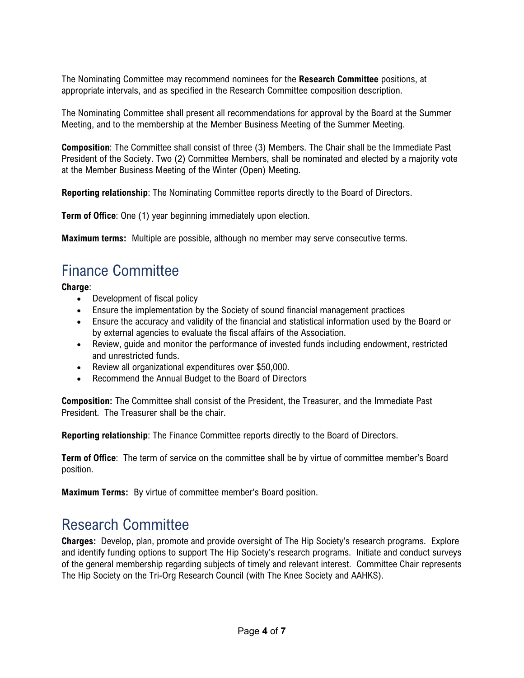The Nominating Committee may recommend nominees for the **Research Committee** positions, at appropriate intervals, and as specified in the Research Committee composition description.

The Nominating Committee shall present all recommendations for approval by the Board at the Summer Meeting, and to the membership at the Member Business Meeting of the Summer Meeting.

**Composition**: The Committee shall consist of three (3) Members. The Chair shall be the Immediate Past President of the Society. Two (2) Committee Members, shall be nominated and elected by a majority vote at the Member Business Meeting of the Winter (Open) Meeting.

**Reporting relationship**: The Nominating Committee reports directly to the Board of Directors.

**Term of Office**: One (1) year beginning immediately upon election.

<span id="page-3-0"></span>**Maximum terms:** Multiple are possible, although no member may serve consecutive terms.

## Finance Committee

**Charge**:

- Development of fiscal policy
- Ensure the implementation by the Society of sound financial management practices
- Ensure the accuracy and validity of the financial and statistical information used by the Board or by external agencies to evaluate the fiscal affairs of the Association.
- Review, quide and monitor the performance of invested funds including endowment, restricted and unrestricted funds.
- Review all organizational expenditures over \$50,000.
- Recommend the Annual Budget to the Board of Directors

**Composition:** The Committee shall consist of the President, the Treasurer, and the Immediate Past President. The Treasurer shall be the chair.

**Reporting relationship**: The Finance Committee reports directly to the Board of Directors.

**Term of Office**: The term of service on the committee shall be by virtue of committee member's Board position.

<span id="page-3-1"></span>**Maximum Terms:** By virtue of committee member's Board position.

### Research Committee

**Charges:** Develop, plan, promote and provide oversight of The Hip Society's research programs. Explore and identify funding options to support The Hip Society's research programs. Initiate and conduct surveys of the general membership regarding subjects of timely and relevant interest. Committee Chair represents The Hip Society on the Tri-Org Research Council (with The Knee Society and AAHKS).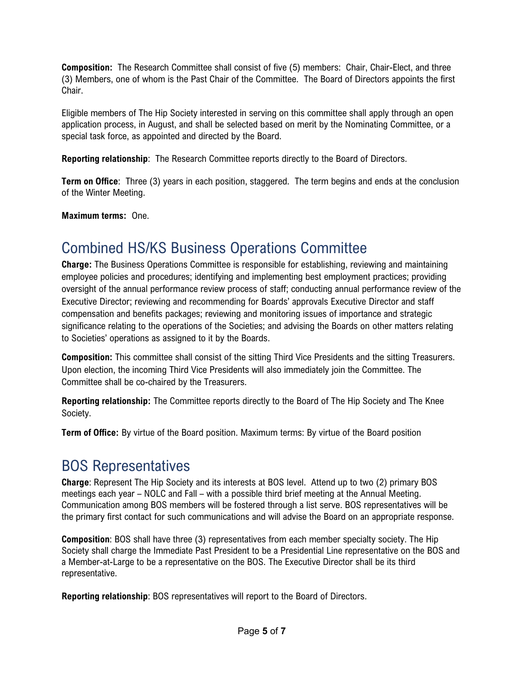**Composition:** The Research Committee shall consist of five (5) members: Chair, Chair-Elect, and three (3) Members, one of whom is the Past Chair of the Committee. The Board of Directors appoints the first Chair.

Eligible members of The Hip Society interested in serving on this committee shall apply through an open application process, in August, and shall be selected based on merit by the Nominating Committee, or a special task force, as appointed and directed by the Board.

**Reporting relationship**: The Research Committee reports directly to the Board of Directors.

**Term on Office**: Three (3) years in each position, staggered. The term begins and ends at the conclusion of the Winter Meeting.

<span id="page-4-0"></span>**Maximum terms:** One.

## Combined HS/KS Business Operations Committee

**Charge:** The Business Operations Committee is responsible for establishing, reviewing and maintaining employee policies and procedures; identifying and implementing best employment practices; providing oversight of the annual performance review process of staff; conducting annual performance review of the Executive Director; reviewing and recommending for Boards' approvals Executive Director and staff compensation and benefits packages; reviewing and monitoring issues of importance and strategic significance relating to the operations of the Societies; and advising the Boards on other matters relating to Societies' operations as assigned to it by the Boards.

**Composition:** This committee shall consist of the sitting Third Vice Presidents and the sitting Treasurers. Upon election, the incoming Third Vice Presidents will also immediately join the Committee. The Committee shall be co-chaired by the Treasurers.

**Reporting relationship:** The Committee reports directly to the Board of The Hip Society and The Knee Society.

**Term of Office:** By virtue of the Board position. Maximum terms: By virtue of the Board position

## <span id="page-4-1"></span>BOS Representatives

**Charge**: Represent The Hip Society and its interests at BOS level. Attend up to two (2) primary BOS meetings each year – NOLC and Fall – with a possible third brief meeting at the Annual Meeting. Communication among BOS members will be fostered through a list serve. BOS representatives will be the primary first contact for such communications and will advise the Board on an appropriate response.

**Composition**: BOS shall have three (3) representatives from each member specialty society. The Hip Society shall charge the Immediate Past President to be a Presidential Line representative on the BOS and a Member-at-Large to be a representative on the BOS. The Executive Director shall be its third representative.

**Reporting relationship**: BOS representatives will report to the Board of Directors.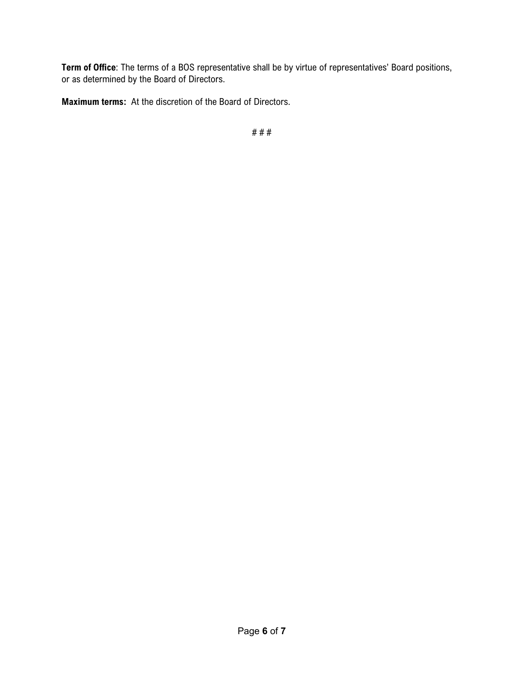**Term of Office**: The terms of a BOS representative shall be by virtue of representatives' Board positions, or as determined by the Board of Directors.

**Maximum terms:** At the discretion of the Board of Directors.

# # #